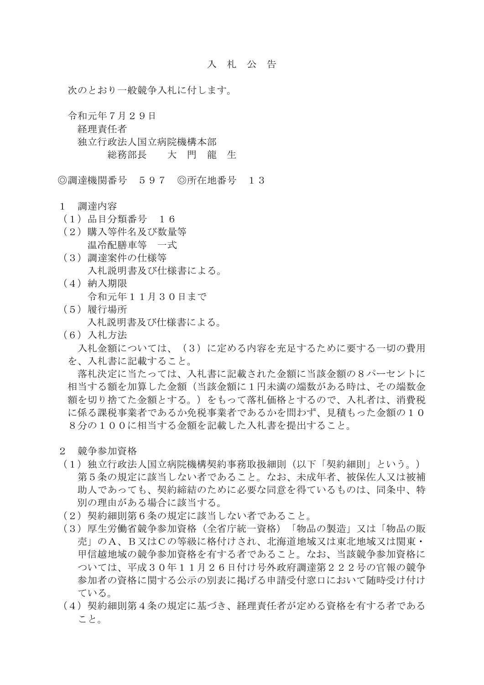次のとおり一般競争入札に付します。

 令和元年7月29日 経理責任者 独立行政法人国立病院機構本部 総務部長 大 門 龍 生

◎調達機関番号 597 ◎所在地番号 13

## 1 調達内容

- (1)品目分類番号 16
- (2)購入等件名及び数量等 温冷配膳車等 一式
- (3)調達案件の仕様等 入札説明書及び仕様書による。
- (4)納入期限 令和元年11月30日まで
- (5)履行場所 入札説明書及び仕様書による。
- (6)入札方法

 入札金額については、(3)に定める内容を充足するために要する一切の費用 を、入札書に記載すること。

 落札決定に当たっては、入札書に記載された金額に当該金額の8パーセントに 相当する額を加算した金額(当該金額に1円未満の端数がある時は、その端数金 額を切り捨てた金額とする。)をもって落札価格とするので、入札者は、消費税 に係る課税事業者であるか免税事業者であるかを問わず、見積もった金額の10 8分の100に相当する金額を記載した入札書を提出すること。

- 2 競争参加資格
- (1)独立行政法人国立病院機構契約事務取扱細則(以下「契約細則」という。) 第5条の規定に該当しない者であること。なお、未成年者、被保佐人又は被補 助人であっても、契約締結のために必要な同意を得ているものは、同条中、特 別の理由がある場合に該当する。
- (2)契約細則第6条の規定に該当しない者であること。
- (3)厚生労働省競争参加資格(全省庁統一資格)「物品の製造」又は「物品の販 売」のA、B又はCの等級に格付けされ、北海道地域又は東北地域又は関東・ 甲信越地域の競争参加資格を有する者であること。なお、当該競争参加資格に ついては、平成30年11月26日付け号外政府調達第222号の官報の競争 参加者の資格に関する公示の別表に掲げる申請受付窓口において随時受け付け ている。
- (4)契約細則第4条の規定に基づき、経理責任者が定める資格を有する者である こと。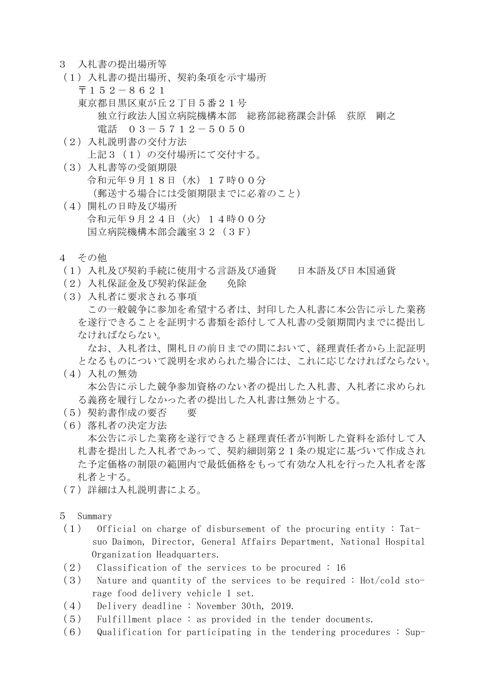- 3 入札書の提出場所等
- (1)入札書の提出場所、契約条項を示す場所 〒152-8621 東京都目黒区東が丘2丁目5番21号 独立行政法人国立病院機構本部 総務部総務課会計係 荻原 剛之 電話 03-5712-5050
- (2)入札説明書の交付方法 上記3 (1)の交付場所にて交付する。
- (3)入札書等の受領期限 令和元年9月18日(水)17時00分 (郵送する場合には受領期限までに必着のこと)
- (4)開札の日時及び場所 令和元年9月24日(火)14時00分 国立病院機構本部会議室32(3F)
- 4 その他
- (1)入札及び契約手続に使用する言語及び通貨 日本語及び日本国通貨
- (2)入札保証金及び契約保証金 免除
- (3)入札者に要求される事項 この一般競争に参加を希望する者は、封印した入札書に本公告に示した業務 を遂行できることを証明する書類を添付して入札書の受領期間内までに提出し なければならない。

 なお、入札者は、開札日の前日までの間において、経理責任者から上記証明 となるものについて説明を求められた場合には、これに応じなければならない。

- (4)入札の無効 本公告に示した競争参加資格のない者の提出した入札書、入札者に求められ る義務を履行しなかった者の提出した入札書は無効とする。
- (5)契約書作成の要否 要
- (6)落札者の決定方法

 本公告に示した業務を遂行できると経理責任者が判断した資料を添付して入 札書を提出した入札者であって、契約細則第21条の規定に基づいて作成され た予定価格の制限の範囲内で最低価格をもって有効な入札を行った入札者を落 札者とする。

- (7)詳細は入札説明書による。
- 5 Summary
- (1) Official on charge of disbursement of the procuring entity : Tat suo Daimon, Director, General Affairs Department, National Hospital Organization Headquarters.
- (2) Classification of the services to be procured : 16
- (3) Nature and quantity of the services to be required : Hot/cold storage food delivery vehicle 1 set.
- (4) Delivery deadline : November 30th, 2019.
- (5) Fulfillment place : as provided in the tender documents.
- $(6)$  Qualification for participating in the tendering procedures : Sup-